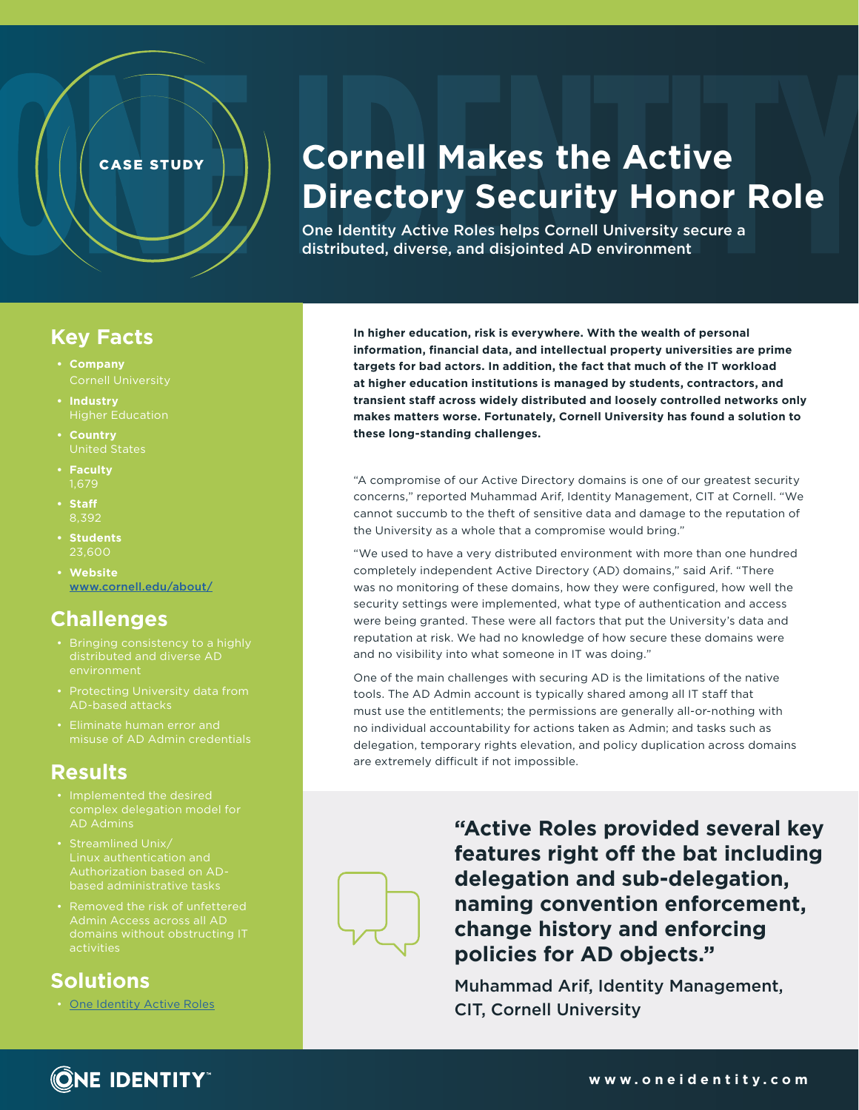# **Cornell Makes the Active Directory Security Honor Role**

One Identity Active Roles helps Cornell University secure a distributed, diverse, and disjointed AD environment

#### **Key Facts**

**• Company**

CASE STUDY

- **• Industry**
- **• Country** United States
- **• Faculty**
- **• Staff**
- **• Students** 23,600
- **• Website** [www.cornell.edu/about/](https://www.cornell.edu/about/)

### **Challenges**

- Bringing consistency to a highly distributed and diverse AD environment
- Protecting University data from AD-based attacks
- misuse of AD Admin credentials

# **Results**

- Implemented the desired complex delegation model for AD Admins
- Authorization based on ADbased administrative tasks
- Removed the risk of unfettered Admin Access across all AD domains without obstructing IT activities

# **Solutions**

• [One Identity Active Roles](https://www.quest.com/products/active-roles/)

**In higher education, risk is everywhere. With the wealth of personal information, financial data, and intellectual property universities are prime targets for bad actors. In addition, the fact that much of the IT workload at higher education institutions is managed by students, contractors, and transient staff across widely distributed and loosely controlled networks only makes matters worse. Fortunately, Cornell University has found a solution to these long-standing challenges.**

"A compromise of our Active Directory domains is one of our greatest security concerns," reported Muhammad Arif, Identity Management, CIT at Cornell. "We cannot succumb to the theft of sensitive data and damage to the reputation of the University as a whole that a compromise would bring."

"We used to have a very distributed environment with more than one hundred completely independent Active Directory (AD) domains," said Arif. "There was no monitoring of these domains, how they were configured, how well the security settings were implemented, what type of authentication and access were being granted. These were all factors that put the University's data and reputation at risk. We had no knowledge of how secure these domains were and no visibility into what someone in IT was doing."

One of the main challenges with securing AD is the limitations of the native tools. The AD Admin account is typically shared among all IT staff that must use the entitlements; the permissions are generally all-or-nothing with no individual accountability for actions taken as Admin; and tasks such as delegation, temporary rights elevation, and policy duplication across domains are extremely difficult if not impossible.

> **"Active Roles provided several key features right off the bat including delegation and sub-delegation, naming convention enforcement, change history and enforcing policies for AD objects."**

Muhammad Arif, Identity Management, CIT, Cornell University



**ONE IDENTITY**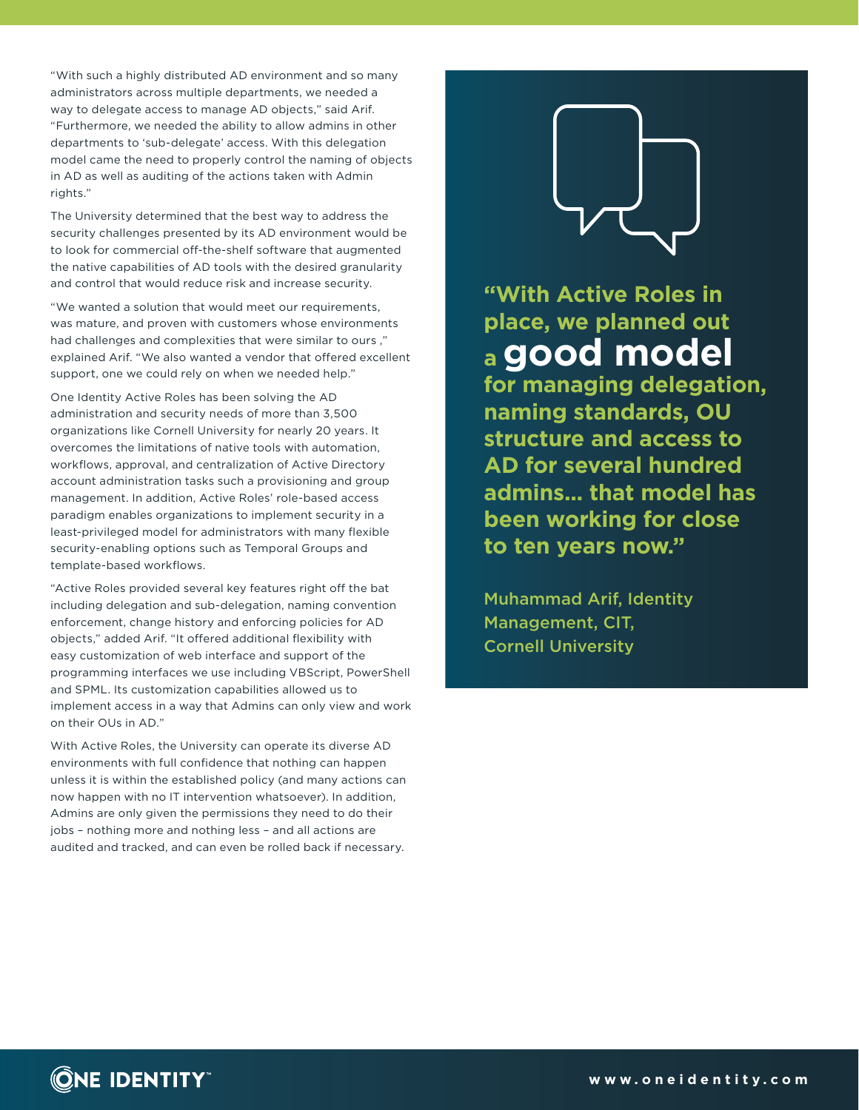"With such a highly distributed AD environment and so many administrators across multiple departments, we needed a way to delegate access to manage AD objects," said Arif. "Furthermore, we needed the ability to allow admins in other departments to 'sub-delegate' access. With this delegation model came the need to properly control the naming of objects in AD as well as auditing of the actions taken with Admin rights."

The University determined that the best way to address the security challenges presented by its AD environment would be to look for commercial off-the-shelf software that augmented the native capabilities of AD tools with the desired granularity and control that would reduce risk and increase security.

"We wanted a solution that would meet our requirements, was mature, and proven with customers whose environments had challenges and complexities that were similar to ours ," explained Arif. "We also wanted a vendor that offered excellent support, one we could rely on when we needed help."

One Identity Active Roles has been solving the AD administration and security needs of more than 3,500 organizations like Cornell University for nearly 20 years. It overcomes the limitations of native tools with automation, workflows, approval, and centralization of Active Directory account administration tasks such a provisioning and group management. In addition, Active Roles' role-based access paradigm enables organizations to implement security in a least-privileged model for administrators with many flexible security-enabling options such as Temporal Groups and template-based workflows.

"Active Roles provided several key features right off the bat including delegation and sub-delegation, naming convention enforcement, change history and enforcing policies for AD objects," added Arif. "It offered additional flexibility with easy customization of web interface and support of the programming interfaces we use including VBScript, PowerShell and SPML. Its customization capabilities allowed us to implement access in a way that Admins can only view and work on their OUs in AD."

With Active Roles, the University can operate its diverse AD environments with full confidence that nothing can happen unless it is within the established policy (and many actions can now happen with no IT intervention whatsoever). In addition, Admins are only given the permissions they need to do their jobs – nothing more and nothing less – and all actions are audited and tracked, and can even be rolled back if necessary.



**"With Active Roles in place, we planned out a good model**

**for managing delegation, naming standards, OU structure and access to AD for several hundred admins... that model has been working for close to ten years now."**

Muhammad Arif, Identity Management, CIT, Cornell University